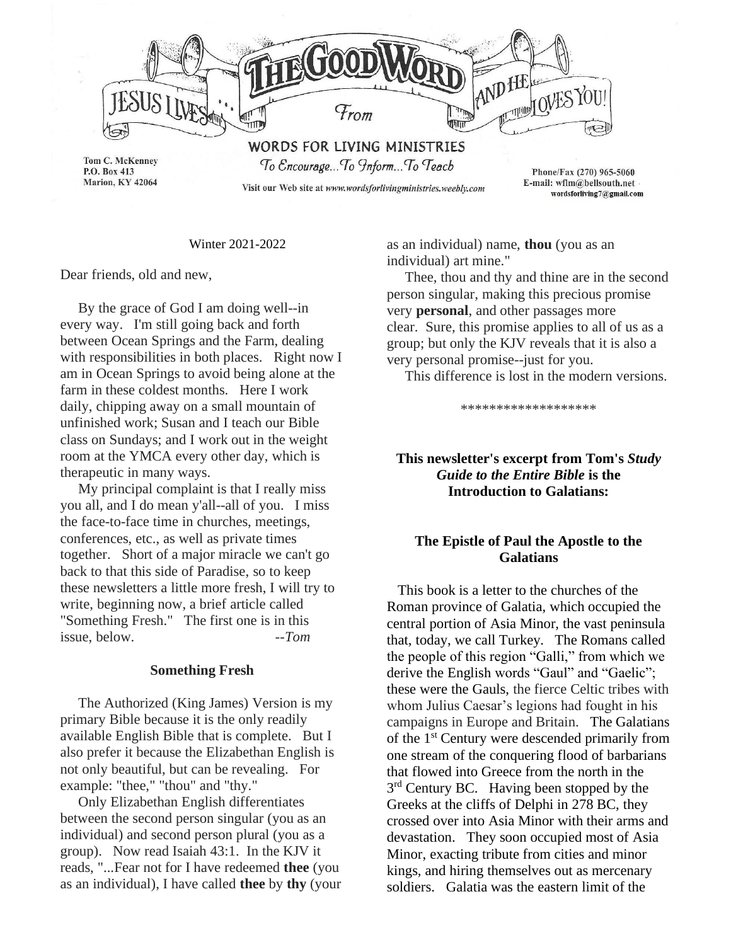

Winter 2021-2022

Dear friends, old and new,

 By the grace of God I am doing well--in every way. I'm still going back and forth between Ocean Springs and the Farm, dealing with responsibilities in both places. Right now I am in Ocean Springs to avoid being alone at the farm in these coldest months. Here I work daily, chipping away on a small mountain of unfinished work; Susan and I teach our Bible class on Sundays; and I work out in the weight room at the YMCA every other day, which is therapeutic in many ways.

 My principal complaint is that I really miss you all, and I do mean y'all--all of you. I miss the face-to-face time in churches, meetings, conferences, etc., as well as private times together. Short of a major miracle we can't go back to that this side of Paradise, so to keep these newsletters a little more fresh, I will try to write, beginning now, a brief article called "Something Fresh." The first one is in this issue, below. *--Tom*

#### **Something Fresh**

 The Authorized (King James) Version is my primary Bible because it is the only readily available English Bible that is complete. But I also prefer it because the Elizabethan English is not only beautiful, but can be revealing. For example: "thee," "thou" and "thy."

 Only Elizabethan English differentiates between the second person singular (you as an individual) and second person plural (you as a group). Now read Isaiah 43:1. In the KJV it reads, "...Fear not for I have redeemed **thee** (you as an individual), I have called **thee** by **thy** (your as an individual) name, **thou** (you as an individual) art mine."

 Thee, thou and thy and thine are in the second person singular, making this precious promise very **personal**, and other passages more clear. Sure, this promise applies to all of us as a group; but only the KJV reveals that it is also a very personal promise--just for you.

This difference is lost in the modern versions.

\*\*\*\*\*\*\*\*\*\*\*\*\*\*\*\*\*\*\*

# **This newsletter's excerpt from Tom's** *Study Guide to the Entire Bible* **is the Introduction to Galatians:**

## **The Epistle of Paul the Apostle to the Galatians**

This book is a letter to the churches of the Roman province of Galatia, which occupied the central portion of Asia Minor, the vast peninsula that, today, we call Turkey. The Romans called the people of this region "Galli," from which we derive the English words "Gaul" and "Gaelic"; these were the Gauls, the fierce Celtic tribes with whom Julius Caesar's legions had fought in his campaigns in Europe and Britain. The Galatians of the 1st Century were descended primarily from one stream of the conquering flood of barbarians that flowed into Greece from the north in the 3<sup>rd</sup> Century BC. Having been stopped by the Greeks at the cliffs of Delphi in 278 BC, they crossed over into Asia Minor with their arms and devastation. They soon occupied most of Asia Minor, exacting tribute from cities and minor kings, and hiring themselves out as mercenary soldiers. Galatia was the eastern limit of the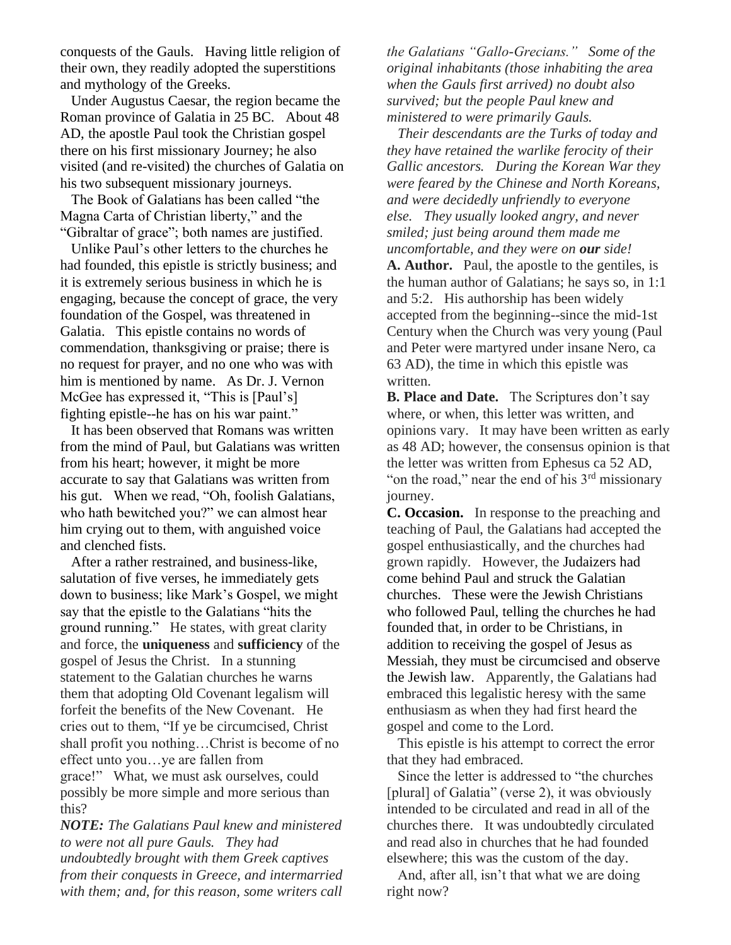conquests of the Gauls. Having little religion of their own, they readily adopted the superstitions and mythology of the Greeks.

 Under Augustus Caesar, the region became the Roman province of Galatia in 25 BC. About 48 AD, the apostle Paul took the Christian gospel there on his first missionary Journey; he also visited (and re-visited) the churches of Galatia on his two subsequent missionary journeys.

 The Book of Galatians has been called "the Magna Carta of Christian liberty," and the "Gibraltar of grace"; both names are justified.

 Unlike Paul's other letters to the churches he had founded, this epistle is strictly business; and it is extremely serious business in which he is engaging, because the concept of grace, the very foundation of the Gospel, was threatened in Galatia. This epistle contains no words of commendation, thanksgiving or praise; there is no request for prayer, and no one who was with him is mentioned by name. As Dr. J. Vernon McGee has expressed it, "This is [Paul's] fighting epistle--he has on his war paint."

 It has been observed that Romans was written from the mind of Paul, but Galatians was written from his heart; however, it might be more accurate to say that Galatians was written from his gut. When we read, "Oh, foolish Galatians, who hath bewitched you?" we can almost hear him crying out to them, with anguished voice and clenched fists.

 After a rather restrained, and business-like, salutation of five verses, he immediately gets down to business; like Mark's Gospel, we might say that the epistle to the Galatians "hits the ground running." He states, with great clarity and force, the **uniqueness** and **sufficiency** of the gospel of Jesus the Christ. In a stunning statement to the Galatian churches he warns them that adopting Old Covenant legalism will forfeit the benefits of the New Covenant. He cries out to them, "If ye be circumcised, Christ shall profit you nothing…Christ is become of no effect unto you…ye are fallen from grace!" What, we must ask ourselves, could possibly be more simple and more serious than this?

*NOTE: The Galatians Paul knew and ministered to were not all pure Gauls. They had undoubtedly brought with them Greek captives from their conquests in Greece, and intermarried with them; and, for this reason, some writers call* 

*the Galatians "Gallo-Grecians." Some of the original inhabitants (those inhabiting the area when the Gauls first arrived) no doubt also survived; but the people Paul knew and ministered to were primarily Gauls.*

 *Their descendants are the Turks of today and they have retained the warlike ferocity of their Gallic ancestors. During the Korean War they were feared by the Chinese and North Koreans, and were decidedly unfriendly to everyone else. They usually looked angry, and never smiled; just being around them made me uncomfortable, and they were on our side!* **A. Author.** Paul, the apostle to the gentiles, is the human author of Galatians; he says so, in 1:1 and 5:2. His authorship has been widely accepted from the beginning--since the mid-1st Century when the Church was very young (Paul and Peter were martyred under insane Nero, ca 63 AD), the time in which this epistle was written.

**B. Place and Date.** The Scriptures don't say where, or when, this letter was written, and opinions vary. It may have been written as early as 48 AD; however, the consensus opinion is that the letter was written from Ephesus ca 52 AD, "on the road," near the end of his  $3<sup>rd</sup>$  missionary journey.

**C. Occasion.** In response to the preaching and teaching of Paul, the Galatians had accepted the gospel enthusiastically, and the churches had grown rapidly. However, the Judaizers had come behind Paul and struck the Galatian churches. These were the Jewish Christians who followed Paul, telling the churches he had founded that, in order to be Christians, in addition to receiving the gospel of Jesus as Messiah, they must be circumcised and observe the Jewish law. Apparently, the Galatians had embraced this legalistic heresy with the same enthusiasm as when they had first heard the gospel and come to the Lord.

 This epistle is his attempt to correct the error that they had embraced.

 Since the letter is addressed to "the churches [plural] of Galatia" (verse 2), it was obviously intended to be circulated and read in all of the churches there. It was undoubtedly circulated and read also in churches that he had founded elsewhere; this was the custom of the day.

 And, after all, isn't that what we are doing right now?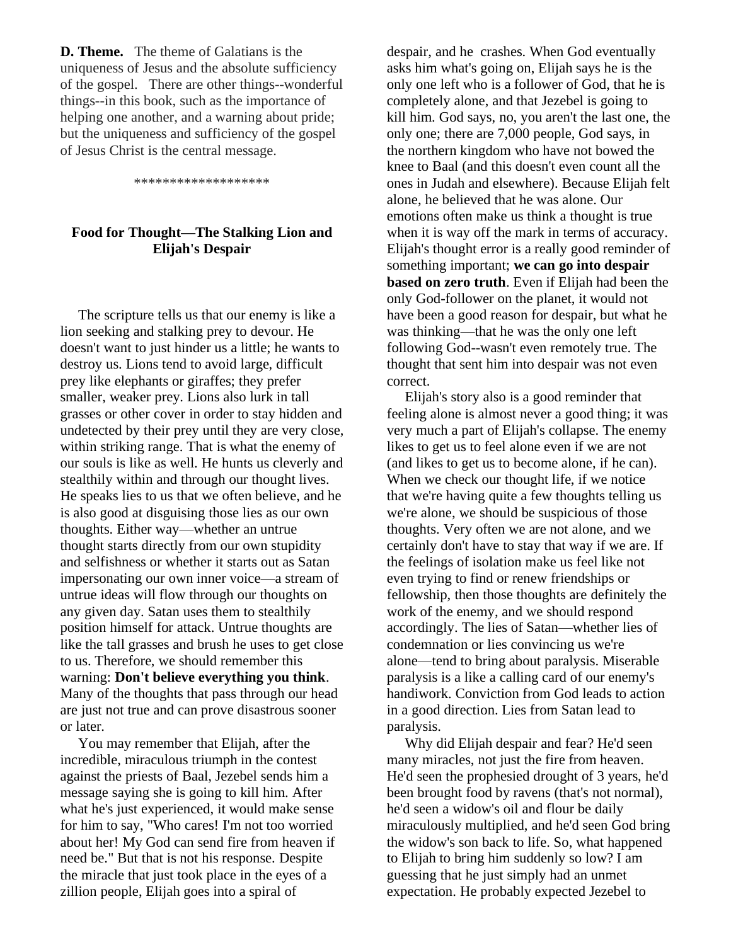**D. Theme.** The theme of Galatians is the uniqueness of Jesus and the absolute sufficiency of the gospel. There are other things--wonderful things--in this book, such as the importance of helping one another, and a warning about pride; but the uniqueness and sufficiency of the gospel of Jesus Christ is the central message.

\*\*\*\*\*\*\*\*\*\*\*\*\*\*\*\*\*\*\*

# **Food for Thought—The Stalking Lion and Elijah's Despair**

 The scripture tells us that our enemy is like a lion seeking and stalking prey to devour. He doesn't want to just hinder us a little; he wants to destroy us. Lions tend to avoid large, difficult prey like elephants or giraffes; they prefer smaller, weaker prey. Lions also lurk in tall grasses or other cover in order to stay hidden and undetected by their prey until they are very close, within striking range. That is what the enemy of our souls is like as well. He hunts us cleverly and stealthily within and through our thought lives. He speaks lies to us that we often believe, and he is also good at disguising those lies as our own thoughts. Either way—whether an untrue thought starts directly from our own stupidity and selfishness or whether it starts out as Satan impersonating our own inner voice—a stream of untrue ideas will flow through our thoughts on any given day. Satan uses them to stealthily position himself for attack. Untrue thoughts are like the tall grasses and brush he uses to get close to us. Therefore, we should remember this warning: **Don't believe everything you think**. Many of the thoughts that pass through our head are just not true and can prove disastrous sooner or later.

 You may remember that Elijah, after the incredible, miraculous triumph in the contest against the priests of Baal, Jezebel sends him a message saying she is going to kill him. After what he's just experienced, it would make sense for him to say, "Who cares! I'm not too worried about her! My God can send fire from heaven if need be." But that is not his response. Despite the miracle that just took place in the eyes of a zillion people, Elijah goes into a spiral of

despair, and he crashes. When God eventually asks him what's going on, Elijah says he is the only one left who is a follower of God, that he is completely alone, and that Jezebel is going to kill him. God says, no, you aren't the last one, the only one; there are 7,000 people, God says, in the northern kingdom who have not bowed the knee to Baal (and this doesn't even count all the ones in Judah and elsewhere). Because Elijah felt alone, he believed that he was alone. Our emotions often make us think a thought is true when it is way off the mark in terms of accuracy. Elijah's thought error is a really good reminder of something important; **we can go into despair based on zero truth**. Even if Elijah had been the only God-follower on the planet, it would not have been a good reason for despair, but what he was thinking—that he was the only one left following God--wasn't even remotely true. The thought that sent him into despair was not even correct.

 Elijah's story also is a good reminder that feeling alone is almost never a good thing; it was very much a part of Elijah's collapse. The enemy likes to get us to feel alone even if we are not (and likes to get us to become alone, if he can). When we check our thought life, if we notice that we're having quite a few thoughts telling us we're alone, we should be suspicious of those thoughts. Very often we are not alone, and we certainly don't have to stay that way if we are. If the feelings of isolation make us feel like not even trying to find or renew friendships or fellowship, then those thoughts are definitely the work of the enemy, and we should respond accordingly. The lies of Satan—whether lies of condemnation or lies convincing us we're alone—tend to bring about paralysis. Miserable paralysis is a like a calling card of our enemy's handiwork. Conviction from God leads to action in a good direction. Lies from Satan lead to paralysis.

 Why did Elijah despair and fear? He'd seen many miracles, not just the fire from heaven. He'd seen the prophesied drought of 3 years, he'd been brought food by ravens (that's not normal), he'd seen a widow's oil and flour be daily miraculously multiplied, and he'd seen God bring the widow's son back to life. So, what happened to Elijah to bring him suddenly so low? I am guessing that he just simply had an unmet expectation. He probably expected Jezebel to